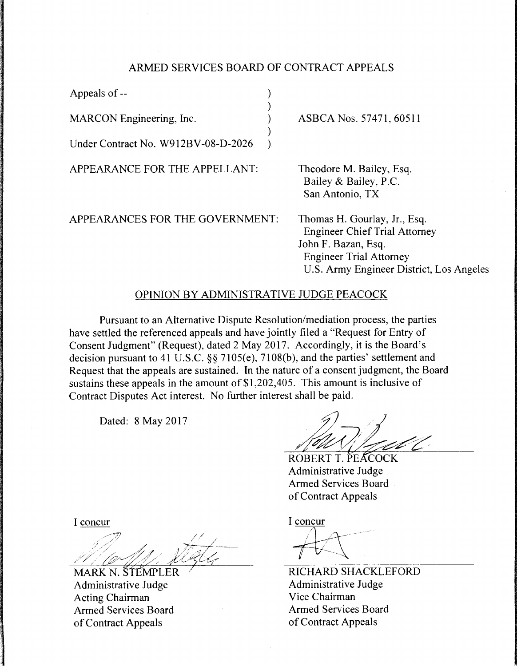## ARMED SERVICES BOARD OF CONTRACT APPEALS

| Appeals of --                       |  |
|-------------------------------------|--|
|                                     |  |
| <b>MARCON</b> Engineering, Inc.     |  |
| Under Contract No. W912BV-08-D-2026 |  |
|                                     |  |

APPEARANCE FOR THE APPELLANT:

APPEARANCES FOR THE GOVERNMENT:

ASBCA Nos. 57471, 60511

Theodore M. Bailey, Esq. Bailey & Bailey, P.C. San Antonio, TX

Thomas H. Gourlay, Jr., Esq. Engineer Chief Trial Attorney John F. Bazan, Esq. Engineer Trial Attorney U.S. Army Engineer District, Los Angeles

## OPINION BY ADMINISTRATIVE JUDGE PEACOCK

Pursuant to an Alternative Dispute Resolution/mediation process, the parties have settled the referenced appeals and have jointly filed a "Request for Entry of Consent Judgment" (Request), dated 2 May 2017. Accordingly, it is the Board's decision pursuant to 41 U.S.C. §§ 7105(e), 7108(b), and the parties' settlement and Request that the appeals are sustained. In the nature of a consent judgment, the Board sustains these appeals in the amount of \$1,202,405. This amount is inclusive of Contract Disputes Act interest. No further interest shall be paid.

Dated: 8 May 2017

ROBERT T. PEACOCK Administrative Judge Armed Services Board of Contract Appeals

I concur

 $#$ 

RICHARD SHACKLEFORD Administrative Judge Vice Chairman Armed Services Board of Contract Appeals

I concur

MARK N. STEMPLER Administrative Judge Acting Chairman Armed Services Board of Contract Appeals